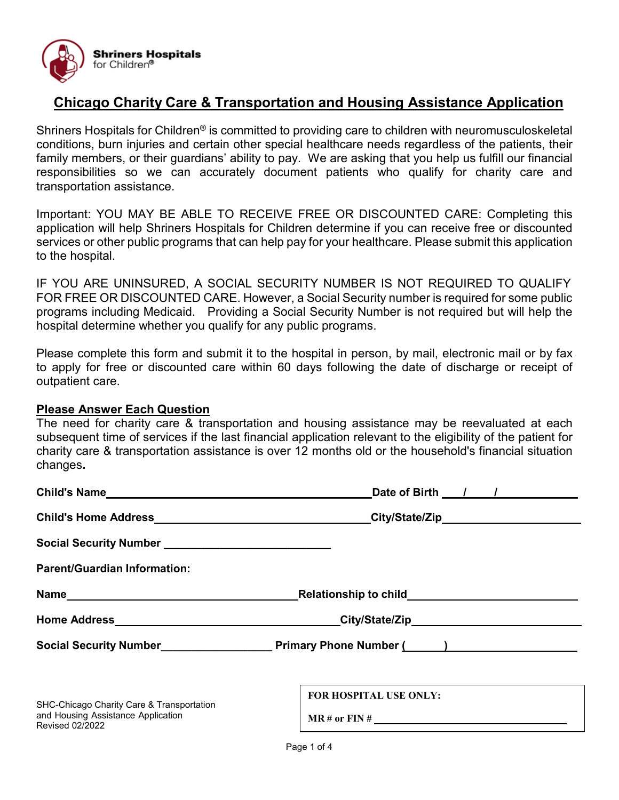

# **Chicago Charity Care & Transportation and Housing Assistance Application**

Shriners Hospitals for Children<sup>®</sup> is committed to providing care to children with neuromusculoskeletal conditions, burn injuries and certain other special healthcare needs regardless of the patients, their family members, or their guardians' ability to pay. We are asking that you help us fulfill our financial responsibilities so we can accurately document patients who qualify for charity care and transportation assistance.

Important: YOU MAY BE ABLE TO RECEIVE FREE OR DISCOUNTED CARE: Completing this application will help Shriners Hospitals for Children determine if you can receive free or discounted services or other public programs that can help pay for your healthcare. Please submit this application to the hospital.

IF YOU ARE UNINSURED, A SOCIAL SECURITY NUMBER IS NOT REQUIRED TO QUALIFY FOR FREE OR DISCOUNTED CARE. However, a Social Security number is required for some public programs including Medicaid. Providing a Social Security Number is not required but will help the hospital determine whether you qualify for any public programs.

Please complete this form and submit it to the hospital in person, by mail, electronic mail or by fax to apply for free or discounted care within 60 days following the date of discharge or receipt of outpatient care.

#### **Please Answer Each Question**

The need for charity care & transportation and housing assistance may be reevaluated at each subsequent time of services if the last financial application relevant to the eligibility of the patient for charity care & transportation assistance is over 12 months old or the household's financial situation changes**.** 

| Child's Name                                                                                              |                        |
|-----------------------------------------------------------------------------------------------------------|------------------------|
|                                                                                                           |                        |
|                                                                                                           |                        |
| <b>Parent/Guardian Information:</b>                                                                       |                        |
|                                                                                                           |                        |
|                                                                                                           |                        |
|                                                                                                           |                        |
| SHC-Chicago Charity Care & Transportation<br>and Housing Assistance Application<br><b>Revised 02/2022</b> | FOR HOSPITAL USE ONLY: |
|                                                                                                           |                        |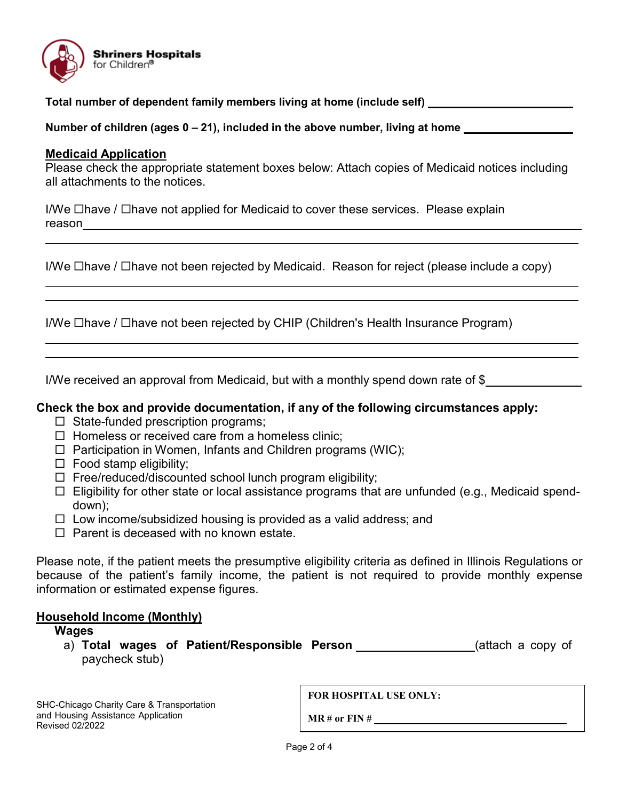

**Total number of dependent family members living at home (include self) \_\_\_\_\_\_\_\_\_\_\_\_\_\_\_\_\_\_\_\_\_\_\_**

**Number of children (ages 0 – 21), included in the above number, living at home** 

#### **Medicaid Application**

Please check the appropriate statement boxes below: Attach copies of Medicaid notices including all attachments to the notices.

I/We  $\Box$  have /  $\Box$  have not applied for Medicaid to cover these services. Please explain reason <u>\_\_\_\_\_\_\_\_\_\_\_\_\_\_\_\_\_\_\_</u>

I/We  $\Box$ have /  $\Box$ have not been rejected by Medicaid. Reason for reject (please include a copy)

I/We  $\Box$ have /  $\Box$ have not been rejected by CHIP (Children's Health Insurance Program)

I/We received an approval from Medicaid, but with a monthly spend down rate of \$

### **Check the box and provide documentation, if any of the following circumstances apply:**

- $\Box$  State-funded prescription programs;
- $\Box$  Homeless or received care from a homeless clinic;
- $\Box$  Participation in Women, Infants and Children programs (WIC);
- $\Box$  Food stamp eligibility;
- $\Box$  Free/reduced/discounted school lunch program eligibility;
- $\Box$  Eligibility for other state or local assistance programs that are unfunded (e.g., Medicaid spenddown);
- $\Box$  Low income/subsidized housing is provided as a valid address; and
- $\Box$  Parent is deceased with no known estate.

Please note, if the patient meets the presumptive eligibility criteria as defined in Illinois Regulations or because of the patient's family income, the patient is not required to provide monthly expense information or estimated expense figures.

### **Household Income (Monthly)**

**Wages** a) **Total wages of Patient/Responsible Person** (attach a copy of paycheck stub)

SHC-Chicago Charity Care & Transportation and Housing Assistance Application Revised 02/2022

**FOR HOSPITAL USE ONLY:**

**MR # or FIN #**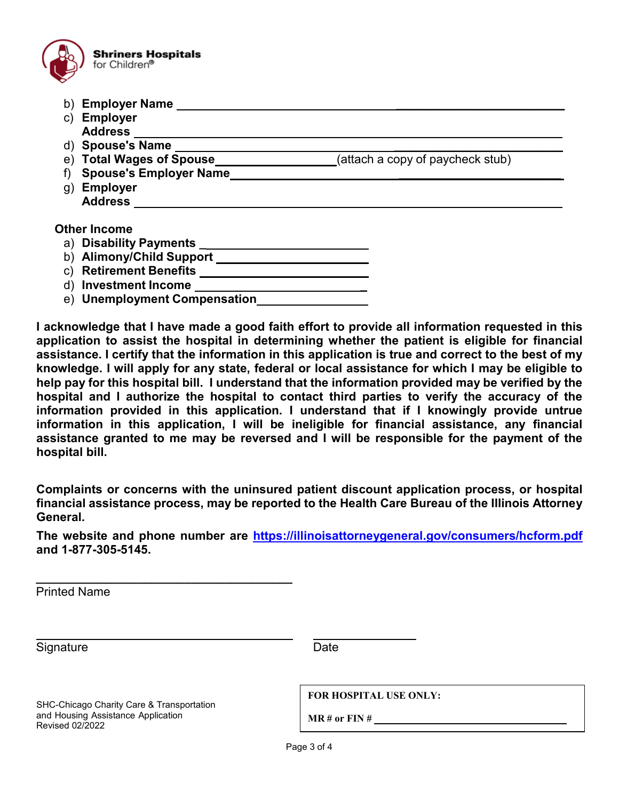

- b) **Employer Name \_\_\_\_\_\_\_\_\_\_\_\_\_\_\_\_\_\_\_\_\_\_\_\_\_**
- c) **Employer Address**
- d) **Spouse's Name \_\_\_\_\_\_\_\_\_\_\_\_\_\_\_\_\_\_\_\_\_\_\_\_\_**
- e) **Total Wages of Spouse** (attach a copy of paycheck stub)
- f) **Spouse's Employer Name \_\_\_\_\_\_\_\_\_\_\_\_\_\_\_\_\_\_\_\_\_\_\_\_**
- g) **Employer Address**

**Other Income**

- a) **Disability Payments \_**
- b) **Alimony/Child Support**
- c) **Retirement Benefits**
- d) **Investment Income \_**
- e) **Unemployment Compensation**

**I acknowledge that I have made a good faith effort to provide all information requested in this application to assist the hospital in determining whether the patient is eligible for financial assistance. I certify that the information in this application is true and correct to the best of my knowledge. I will apply for any state, federal or local assistance for which I may be eligible to help pay for this hospital bill. I understand that the information provided may be verified by the hospital and I authorize the hospital to contact third parties to verify the accuracy of the information provided in this application. I understand that if I knowingly provide untrue information in this application, I will be ineligible for financial assistance, any financial assistance granted to me may be reversed and I will be responsible for the payment of the hospital bill.**

**Complaints or concerns with the uninsured patient discount application process, or hospital financial assistance process, may be reported to the Health Care Bureau of the Illinois Attorney General.** 

**The website and phone number are<https://illinoisattorneygeneral.gov/consumers/hcform.pdf> and 1-877-305-5145.** 

Printed Name

 Signature Date Date

SHC-Chicago Charity Care & Transportation and Housing Assistance Application Revised 02/2022

**\_\_\_\_\_\_\_\_\_\_\_\_\_\_\_\_\_\_\_\_\_\_\_\_\_\_\_\_\_\_\_\_\_\_\_\_\_\_**

**FOR HOSPITAL USE ONLY:**

**MR # or FIN #**